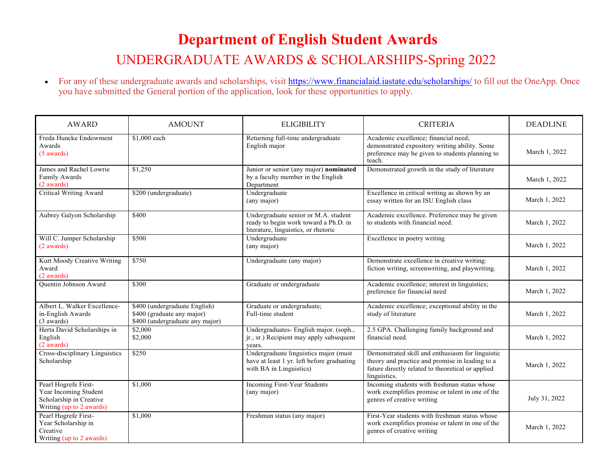## **Department of English Student Awards** UNDERGRADUATE AWARDS & SCHOLARSHIPS-Spring 2022

• For any of these undergraduate awards and scholarships, visit https:/[/www.financialaid.iastate.edu/scholarships/](http://www.financialaid.iastate.edu/scholarships/) to fill out the OneApp. Once you have submitted the General portion of the application, look for these opportunities to apply.

| <b>AWARD</b>                                                                                         | <b>AMOUNT</b>                                                                                  | <b>ELIGIBILITY</b>                                                                                                    | <b>CRITERIA</b>                                                                                                                                                          | <b>DEADLINE</b> |
|------------------------------------------------------------------------------------------------------|------------------------------------------------------------------------------------------------|-----------------------------------------------------------------------------------------------------------------------|--------------------------------------------------------------------------------------------------------------------------------------------------------------------------|-----------------|
| Freda Huncke Endowment<br>Awards<br>$(5$ awards)                                                     | \$1,000 each                                                                                   | Returning full-time undergraduate<br>English major                                                                    | Academic excellence: financial need:<br>demonstrated expository writing ability. Some<br>preference may be given to students planning to<br>teach.                       | March 1, 2022   |
| James and Rachel Lowrie<br>Family Awards<br>(2 awards)                                               | \$1,250                                                                                        | Junior or senior (any major) nominated<br>by a faculty member in the English<br>Department                            | Demonstrated growth in the study of literature                                                                                                                           | March 1, 2022   |
| <b>Critical Writing Award</b>                                                                        | \$200 (undergraduate)                                                                          | Undergraduate<br>(any major)                                                                                          | Excellence in critical writing as shown by an<br>essay written for an ISU English class                                                                                  | March 1, 2022   |
| Aubrey Galyon Scholarship                                                                            | \$400                                                                                          | Undergraduate senior or M.A. student<br>ready to begin work toward a Ph.D. in<br>literature, linguistics, or rhetoric | Academic excellence. Preference may be given<br>to students with financial need.                                                                                         | March 1, 2022   |
| Will C. Jumper Scholarship<br>(2 awards)                                                             | \$500                                                                                          | Undergraduate<br>(any major)                                                                                          | Excellence in poetry writing                                                                                                                                             | March 1, 2022   |
| Kurt Moody Creative Writing<br>Award<br>(2 awards)                                                   | \$750                                                                                          | Undergraduate (any major)                                                                                             | Demonstrate excellence in creative writing:<br>fiction writing, screenwriting, and playwriting.                                                                          | March 1, 2022   |
| <b>Ouentin Johnson Award</b>                                                                         | \$300                                                                                          | Graduate or undergraduate                                                                                             | Academic excellence; interest in linguistics;<br>preference for financial need                                                                                           | March 1, 2022   |
| Albert L. Walker Excellence-<br>in-English Awards<br>(3 awards)                                      | \$400 (undergraduate English)<br>\$400 (graduate any major)<br>\$400 (undergraduate any major) | Graduate or undergraduate;<br>Full-time student                                                                       | Academic excellence; exceptional ability in the<br>study of literature                                                                                                   | March 1, 2022   |
| Herta David Scholarships in<br>English<br>(2 awards)                                                 | \$2,000<br>\$2,000                                                                             | Undergraduates- English major. (soph.,<br>jr., sr.) Recipient may apply subsequent<br>years.                          | 2.5 GPA. Challenging family background and<br>financial need.                                                                                                            | March 1, 2022   |
| Cross-disciplinary Linguistics<br>Scholarship                                                        | \$250                                                                                          | Undergraduate linguistics major (must<br>have at least 1 yr. left before graduating<br>with BA in Linguistics)        | Demonstrated skill and enthusiasm for linguistic<br>theory and practice and promise in leading to a<br>future directly related to theoretical or applied<br>linguistics. | March 1, 2022   |
| Pearl Hogrefe First-<br>Year Incoming Student<br>Scholarship in Creative<br>Writing (up to 2 awards) | \$1,000                                                                                        | Incoming First-Year Students<br>(any major)                                                                           | Incoming students with freshman status whose<br>work exemplifies promise or talent in one of the<br>genres of creative writing                                           | July 31, 2022   |
| Pearl Hogrefe First-<br>Year Scholarship in<br>Creative<br>Writing (up to 2 awards)                  | \$1,000                                                                                        | Freshman status (any major)                                                                                           | First-Year students with freshman status whose<br>work exemplifies promise or talent in one of the<br>genres of creative writing                                         | March 1, 2022   |